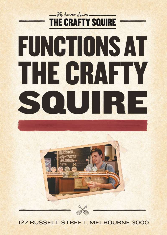# - 26 James Jquire **THE CRAFTY SQUIRE FUNCTIONS AT** THE GRAFIY SOUIRE





# **I27 RUSSELL STREET, MELBOURNE 3000**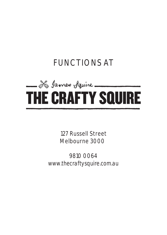# **FUNCTIONS AT**



**127 Russell Street Melbourne 3000**

**9810 0064** *[www.thecraftysquire.com.au](http://www.thecraftysquire.com.au/)*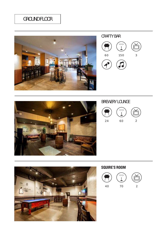# GROUND FLOOR



CRAFTY BAR





# BREWERY LOUNGE





# **SQUIRE'S ROOM**

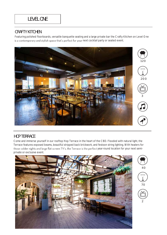# CRAFTY KITCHEN

Featuring polished floorboards, versatile banquette seating and a large private bar the Crafty Kitchen on Level One is a contemporary and stylish space that's perfect for your next cocktail party or seated event.



# HOP TERRACE

Come and immerse yourself in our rooftop Hop Terrace in the heart of the CBD. Flooded with natural light, the Terrace features exposed beams, beautiful stripped back brickwork, and festoon string lighting. With heaters for those colder nights and large flat screen TV's, the Terrace is the perfect year-round location for your next semiprivate or exclusive event.



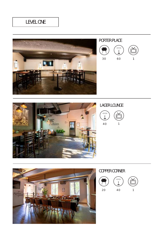# LEVEL ONE





30 60 1



### LAGER LOUNGE





# COPPER CORNER

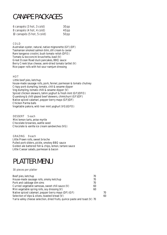# CANAPE PACKAGES

| 6 canapés (3 hot, 3 cold)  | 30pp |
|----------------------------|------|
| 8 canapés (4 hot, 4 cold)  | 40pp |
| 10 canapés (5 hot, 5 cold) | 50pp |

#### **COLD**

**Australian oyster, natural, native mignonette (GF) (DF) Tasmanian smoked salmon blini, dill cream & caviar Rare kangaroo crostini, bush tomato relish (DFO) Tomato & bocconcini bruschetta, basil (V) Great Ocean Road duck pancakes, BBQ sauce Berry Creek blue cheese, semi-dried tomato tartlet (V) Rice paper rolls with hot sour namjum dressing**

#### **HOT**

**Little beef pies, ketchup house-made sausage rolls, pork, fennel, parmesan & tomato chutney Crispy pork dumpling, tomato, chili & sesame dipper Veg dumpling, tomato chilli & sesame dipper (V) Spiced chicken skewers, tahini yoghurt & fresh mint (GF)(DFO) Quandong & chilli glazed beef skewers, chimichurri (GF)(DF) Native spiced calamari, pepper berry mayo (GF)(DF) Chicken Parma balls Vegetable pakora, wild river mint yoghurt (VG)(GFO)**

**DESSERT 5 each Mini lemon tarts, anise myrtle Chocolate brownies, wattle seed Chocolate & vanilla ice cream sandwiches (VG)**

**GRAZING 9 each Little Prawn rolls, sweet brioche Pulled pork sliders, pickle, smokey BBQ sauce Golden ale battered fish & chips, lemon, tartare sauce Little Caesar salads, parmesan & bacon**

# PLATTER MENU

#### 30 pieces per platter

| Beef pies, ketchup                                                         | 70 |    |
|----------------------------------------------------------------------------|----|----|
| House-made sausage rolls, smoky ketchup                                    | 70 |    |
| Pork and cabbage dim sims                                                  | 70 |    |
| Curried vegetable samosas, sweet chili sauce (V)                           | 60 |    |
| Mini vegetable spring rolls, soy dressing $(V)$                            | 60 |    |
| Native spiced calamari, pepper berry mayo (DF) (GF)                        |    | 70 |
| Selection of dips & olives, toasted bread (V)                              |    | 60 |
| Yarra valley cheese selection, dried fruits, quince paste and toast (V) 70 |    |    |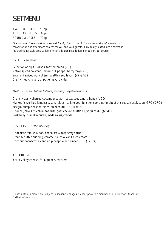# SET MENU

**TWO COURSES 50pp THREE COURSES 65pp FOUR COURSES 79pp**

Our set menu is designed to be served 'family style' shared in the centre of the table to evoke *conversation and offer more choices for you and your guests. Individually plated meals served in the traditional style are available for an additional \$5 dollars per person, per course.*

**ENTRÉE** To share

**Selection of dips & olives, toasted bread (VG) Native spiced calamari, lemon, dill, pepper berry mayo (GF) Saganaki, spiced apricot jam, Wattle seed lavosh (V) (GFO) Crafty fried chicken, chipotle mayo, pickles**

**MAINS -** Choose 3 of the following including 1 vegetarian option:

**Crunchy zesty charred cucumber salad, ricotta, seeds, nuts, honey (VGO) Market fish, grilled lemon, seasonal sides -** *talk to your function coordinator about this season's selection* **(GFO)(DFO) 300gm Rump, seasonal sides, chimichurri (GFO)(DFO) Gnocchi, olives, zucchini, saltbush, goat chevre, truffle oil, verjuice (GF)(VGO) Pork belly, pumpkin puree, madeira jus, crackle**

**DESSERTS -** 3 of the following:

**Chocolate tart, 75% dark chocolate & raspberry sorbet Bread & butter pudding, caramel sauce & vanilla ice cream Coconut pannacotta, candied pineapple and ginger (GFO) (VGO)**

**ADD CHEESE**  Yarra Valley cheese, fruit, quince, crackers

Please note our menus are subject to seasonal changes, please speak to a member of our functions team for further information.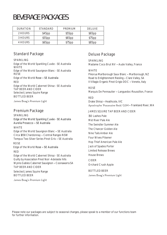# BEVERAGE PACKAGES

| <b>DURATION</b> | STANDARD | PREMIUM | DELUXE. |
|-----------------|----------|---------|---------|
| 2 HOURS         | \$45pp   | \$55pp  | \$65pp  |
| 3 HOURS         | \$55pp   | \$65pp  | \$75pp  |
| 4 HOURS         | \$65pp   | \$75pp  | \$85pp  |

### **Standard Package**

#### **SPARKLING**

Edge of the World Sparkling Cuvée - SE Australia **WHITE** Edge of the World Sauvignon Blanc - SE Australia **ROSE** Edge of the World Rose -- SE Australia **RED** Edge of the World Cabernet Shiraz - SE Australia **TAP BEER AND CIDER** Selected James Squire Range **BOTTLED BEER**

James Boag's Premium Light

### **Premium Package**

**SPARKLING**

Edge of the World Sparkling Cuvée - SE Australia Aurelia Prosecco -- SE Australia **WHITE** Edge of the World Sauvignon Blanc - SE Australia Circa 1858 Chardonnay -- Central Ranges NSW Tempus Two Silver Series Pinot Gris - SE Australia **ROSE** Edge of the World Rose -- SE Australia

**RED**

Edge of the World Cabernet Shiraz - SE Australia Guilty by Association Pinot Noir -Adelaide hills Wynns Gables Cabernet Sauvignon - Coonawarra SA **TAP BEER AND CIDER**

Selected James Squire Range **BOTTLED BEER**

James Boag's Premium Light

### **Deluxe Package**

**SPARKLING** Madame Coco Brut NV - Aude Valley, France

#### **WHITE**

Pikorua Marlborough Sauv Blanc -- Marlborough, NZ Road to Enlightenment Riesling - Clare Valley, SA II Villagio Organic Pinot Grigio DOC - Veneto, Italy

### **ROSÉ**

Marquis De Pennauiter -- Languedoc-Roussillon, France

**RED** Drake Shiraz -- Heathcote, VIC Apostrophe 'Possessive Reds' GSM - Frankland River, WA

#### **JAMES SQUIRE TAP BEER AND CIDER**

150 Lashes Pale Mid River Pale Ale The Swindler Summer Ale The Chancer Golden Ale Nine Tails Amber Ale Four Wives Pilsener Hop Thief American Pale Ale Jack of Spades Porter Limited Release Brews House Brews **CIDER** Orchard Crush Apple **BOTTLED BEER** James Boag's Premium Light

Please note our packages are subject to seasonal changes, please speak to a member of our functions team for further information.